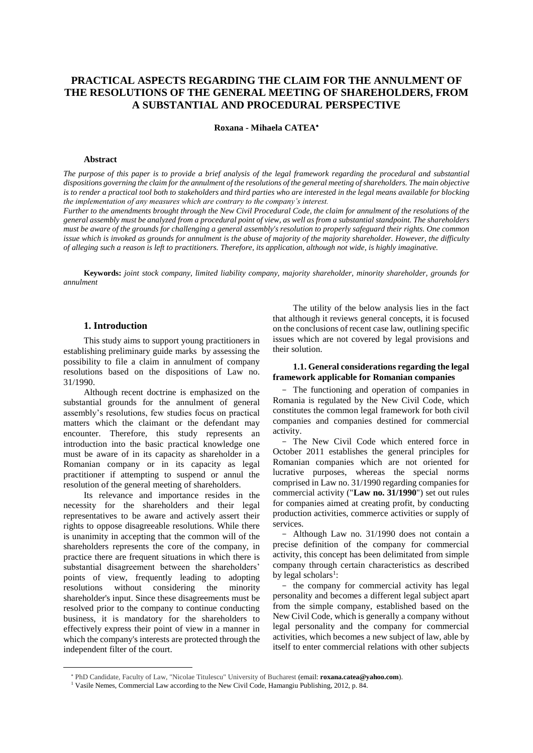# **PRACTICAL ASPECTS REGARDING THE CLAIM FOR THE ANNULMENT OF THE RESOLUTIONS OF THE GENERAL MEETING OF SHAREHOLDERS, FROM A SUBSTANTIAL AND PROCEDURAL PERSPECTIVE**

**Roxana - Mihaela CATEA**

#### **Abstract**

*The purpose of this paper is to provide a brief analysis of the legal framework regarding the procedural and substantial dispositions governing the claim for the annulment of the resolutions of the general meeting of shareholders. The main objective is to render a practical tool both to stakeholders and third parties who are interested in the legal means available for blocking the implementation of any measures which are contrary to the company's interest.*

*Further to the amendments brought through the New Civil Procedural Code, the claim for annulment of the resolutions of the general assembly must be analyzed from a procedural point of view, as well as from a substantial standpoint. The shareholders must be aware of the grounds for challenging a general assembly's resolution to properly safeguard their rights. One common issue which is invoked as grounds for annulment is the abuse of majority of the majority shareholder. However, the difficulty of alleging such a reason is left to practitioners. Therefore, its application, although not wide, is highly imaginative.* 

**Keywords:** *joint stock company, limited liability company, majority shareholder, minority shareholder, grounds for annulment* 

#### **1. Introduction**

This study aims to support young practitioners in establishing preliminary guide marks by assessing the possibility to file a claim in annulment of company resolutions based on the dispositions of Law no. 31/1990.

Although recent doctrine is emphasized on the substantial grounds for the annulment of general assembly's resolutions, few studies focus on practical matters which the claimant or the defendant may encounter. Therefore, this study represents an introduction into the basic practical knowledge one must be aware of in its capacity as shareholder in a Romanian company or in its capacity as legal practitioner if attempting to suspend or annul the resolution of the general meeting of shareholders.

Its relevance and importance resides in the necessity for the shareholders and their legal representatives to be aware and actively assert their rights to oppose disagreeable resolutions. While there is unanimity in accepting that the common will of the shareholders represents the core of the company, in practice there are frequent situations in which there is substantial disagreement between the shareholders' points of view, frequently leading to adopting resolutions without considering the minority shareholder's input. Since these disagreements must be resolved prior to the company to continue conducting business, it is mandatory for the shareholders to effectively express their point of view in a manner in which the company's interests are protected through the independent filter of the court.

The utility of the below analysis lies in the fact that although it reviews general concepts, it is focused on the conclusions of recent case law, outlining specific issues which are not covered by legal provisions and their solution.

# **1.1. General considerations regarding the legal framework applicable for Romanian companies**

- The functioning and operation of companies in Romania is regulated by the New Civil Code, which constitutes the common legal framework for both civil companies and companies destined for commercial activity.

- The New Civil Code which entered force in October 2011 establishes the general principles for Romanian companies which are not oriented for lucrative purposes, whereas the special norms comprised in Law no. 31/1990 regarding companies for commercial activity ("**Law no. 31/1990**") set out rules for companies aimed at creating profit, by conducting production activities, commerce activities or supply of services.

- Although Law no. 31/1990 does not contain a precise definition of the company for commercial activity, this concept has been delimitated from simple company through certain characteristics as described by legal scholars<sup>1</sup>:

- the company for commercial activity has legal personality and becomes a different legal subject apart from the simple company, established based on the New Civil Code, which is generally a company without legal personality and the company for commercial activities, which becomes a new subject of law, able by itself to enter commercial relations with other subjects

PhD Candidate, Faculty of Law, "Nicolae Titulescu" University of Bucharest (email: **roxana.catea@yahoo.com**).

<sup>1</sup> Vasile Nemes, Commercial Law according to the New Civil Code, Hamangiu Publishing, 2012, p. 84.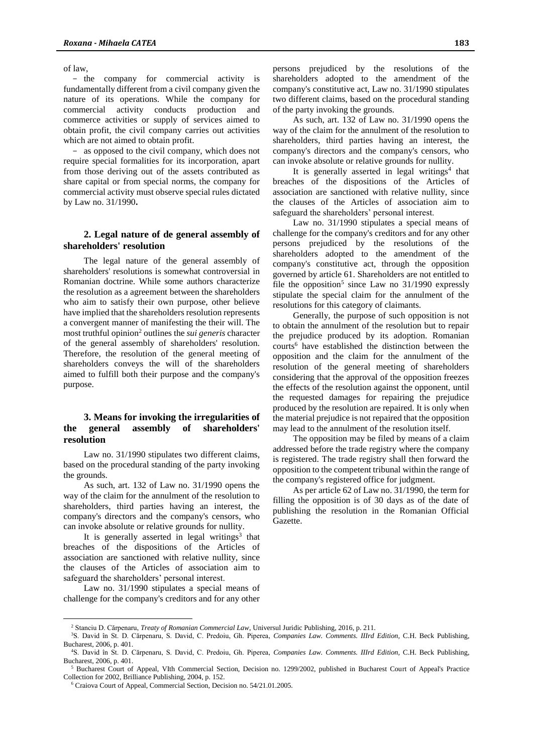of law,

- the company for commercial activity is fundamentally different from a civil company given the nature of its operations. While the company for commercial activity conducts production and commerce activities or supply of services aimed to obtain profit, the civil company carries out activities which are not aimed to obtain profit.

- as opposed to the civil company, which does not require special formalities for its incorporation, apart from those deriving out of the assets contributed as share capital or from special norms, the company for commercial activity must observe special rules dictated by Law no. 31/1990**.**

## **2. Legal nature of de general assembly of shareholders' resolution**

The legal nature of the general assembly of shareholders' resolutions is somewhat controversial in Romanian doctrine. While some authors characterize the resolution as a agreement between the shareholders who aim to satisfy their own purpose, other believe have implied that the shareholders resolution represents a convergent manner of manifesting the their will. The most truthful opinion<sup>2</sup> outlines the *sui generis* character of the general assembly of shareholders' resolution. Therefore, the resolution of the general meeting of shareholders conveys the will of the shareholders aimed to fulfill both their purpose and the company's purpose.

# **3. Means for invoking the irregularities of the general assembly of shareholders' resolution**

Law no. 31/1990 stipulates two different claims, based on the procedural standing of the party invoking the grounds.

As such, art. 132 of Law no. 31/1990 opens the way of the claim for the annulment of the resolution to shareholders, third parties having an interest, the company's directors and the company's censors, who can invoke absolute or relative grounds for nullity.

It is generally asserted in legal writings<sup>3</sup> that breaches of the dispositions of the Articles of association are sanctioned with relative nullity, since the clauses of the Articles of association aim to safeguard the shareholders' personal interest.

Law no. 31/1990 stipulates a special means of challenge for the company's creditors and for any other

 $\overline{a}$ 

persons prejudiced by the resolutions of the shareholders adopted to the amendment of the company's constitutive act, Law no. 31/1990 stipulates two different claims, based on the procedural standing of the party invoking the grounds.

As such, art. 132 of Law no. 31/1990 opens the way of the claim for the annulment of the resolution to shareholders, third parties having an interest, the company's directors and the company's censors, who can invoke absolute or relative grounds for nullity.

It is generally asserted in legal writings<sup>4</sup> that breaches of the dispositions of the Articles of association are sanctioned with relative nullity, since the clauses of the Articles of association aim to safeguard the shareholders' personal interest.

Law no. 31/1990 stipulates a special means of challenge for the company's creditors and for any other persons prejudiced by the resolutions of the shareholders adopted to the amendment of the company's constitutive act, through the opposition governed by article 61. Shareholders are not entitled to file the opposition<sup>5</sup> since Law no  $31/1990$  expressly stipulate the special claim for the annulment of the resolutions for this category of claimants.

Generally, the purpose of such opposition is not to obtain the annulment of the resolution but to repair the prejudice produced by its adoption. Romanian courts <sup>6</sup> have established the distinction between the opposition and the claim for the annulment of the resolution of the general meeting of shareholders considering that the approval of the opposition freezes the effects of the resolution against the opponent, until the requested damages for repairing the prejudice produced by the resolution are repaired. It is only when the material prejudice is not repaired that the opposition may lead to the annulment of the resolution itself.

The opposition may be filed by means of a claim addressed before the trade registry where the company is registered. The trade registry shall then forward the opposition to the competent tribunal within the range of the company's registered office for judgment.

As per article 62 of Law no. 31/1990, the term for filling the opposition is of 30 days as of the date of publishing the resolution in the Romanian Official Gazette.

<sup>2</sup> Stanciu D. Cărpenaru, *Treaty of Romanian Commercial Law*, Universul Juridic Publishing, 2016, p. 211.

<sup>3</sup>S. David în St. D. Cărpenaru, S. David, C. Predoiu, Gh. Piperea, *Companies Law. Comments. IIIrd Edition,* C.H. Beck Publishing, Bucharest, 2006, p. 401. <sup>4</sup>S. David în St. D. Cărpenaru, S. David, C. Predoiu, Gh. Piperea, *Companies Law. Comments. IIIrd Edition,* C.H. Beck Publishing,

Bucharest, 2006, p. 401.

<sup>5</sup> Bucharest Court of Appeal, VIth Commercial Section, Decision no. 1299/2002, published in Bucharest Court of Appeal's Practice Collection for 2002, Brilliance Publishing, 2004, p. 152.

<sup>6</sup> Craiova Court of Appeal, Commercial Section, Decision no. 54/21.01.2005.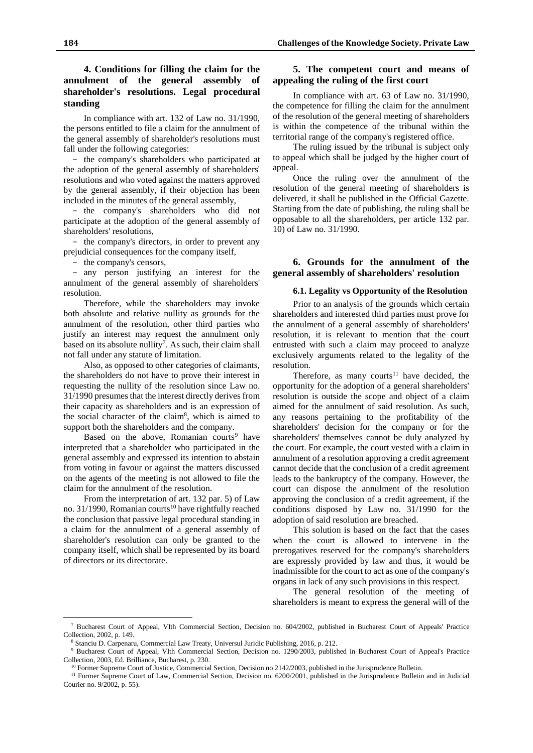# **4. Conditions for filling the claim for the annulment of the general assembly of shareholder's resolutions. Legal procedural standing**

In compliance with art. 132 of Law no. 31/1990, the persons entitled to file a claim for the annulment of the general assembly of shareholder's resolutions must fall under the following categories:

- the company's shareholders who participated at the adoption of the general assembly of shareholders' resolutions and who voted against the matters approved by the general assembly, if their objection has been included in the minutes of the general assembly,

- the company's shareholders who did not participate at the adoption of the general assembly of shareholders' resolutions,

- the company's directors, in order to prevent any prejudicial consequences for the company itself,

- the company's censors,

- any person justifying an interest for the annulment of the general assembly of shareholders' resolution.

Therefore, while the shareholders may invoke both absolute and relative nullity as grounds for the annulment of the resolution, other third parties who justify an interest may request the annulment only based on its absolute nullity<sup>7</sup>. As such, their claim shall not fall under any statute of limitation.

Also, as opposed to other categories of claimants, the shareholders do not have to prove their interest in requesting the nullity of the resolution since Law no. 31/1990 presumes that the interest directly derives from their capacity as shareholders and is an expression of the social character of the claim<sup>8</sup> , which is aimed to support both the shareholders and the company.

Based on the above, Romanian courts<sup>9</sup> have interpreted that a shareholder who participated in the general assembly and expressed its intention to abstain from voting in favour or against the matters discussed on the agents of the meeting is not allowed to file the claim for the annulment of the resolution.

From the interpretation of art. 132 par. 5) of Law no. 31/1990, Romanian courts<sup>10</sup> have rightfully reached the conclusion that passive legal procedural standing in a claim for the annulment of a general assembly of shareholder's resolution can only be granted to the company itself, which shall be represented by its board of directors or its directorate.

 $\overline{a}$ 

# **5. The competent court and means of appealing the ruling of the first court**

In compliance with art. 63 of Law no. 31/1990, the competence for filling the claim for the annulment of the resolution of the general meeting of shareholders is within the competence of the tribunal within the territorial range of the company's registered office.

The ruling issued by the tribunal is subject only to appeal which shall be judged by the higher court of appeal.

Once the ruling over the annulment of the resolution of the general meeting of shareholders is delivered, it shall be published in the Official Gazette. Starting from the date of publishing, the ruling shall be opposable to all the shareholders, per article 132 par. 10) of Law no. 31/1990.

# **6. Grounds for the annulment of the general assembly of shareholders' resolution**

### **6.1. Legality vs Opportunity of the Resolution**

Prior to an analysis of the grounds which certain shareholders and interested third parties must prove for the annulment of a general assembly of shareholders' resolution, it is relevant to mention that the court entrusted with such a claim may proceed to analyze exclusively arguments related to the legality of the resolution.

Therefore, as many courts<sup>11</sup> have decided, the opportunity for the adoption of a general shareholders' resolution is outside the scope and object of a claim aimed for the annulment of said resolution. As such, any reasons pertaining to the profitability of the shareholders' decision for the company or for the shareholders' themselves cannot be duly analyzed by the court. For example, the court vested with a claim in annulment of a resolution approving a credit agreement cannot decide that the conclusion of a credit agreement leads to the bankruptcy of the company. However, the court can dispose the annulment of the resolution approving the conclusion of a credit agreement, if the conditions disposed by Law no. 31/1990 for the adoption of said resolution are breached.

This solution is based on the fact that the cases when the court is allowed to intervene in the prerogatives reserved for the company's shareholders are expressly provided by law and thus, it would be inadmissible for the court to act as one of the company's organs in lack of any such provisions in this respect.

The general resolution of the meeting of shareholders is meant to express the general will of the

<sup>7</sup> Bucharest Court of Appeal, VIth Commercial Section, Decision no. 604/2002, published in Bucharest Court of Appeals' Practice Collection, 2002, p. 149.

<sup>8</sup> Stanciu D. Carpenaru, Commercial Law Treaty, Universul Juridic Publishing, 2016, p. 212.

<sup>&</sup>lt;sup>9</sup> Bucharest Court of Appeal, VIth Commercial Section, Decision no. 1290/2003, published in Bucharest Court of Appeal's Practice Collection, 2003, Ed. Brilliance, Bucharest, p. 230.

<sup>10</sup> Former Supreme Court of Justice, Commercial Section, Decision no 2142/2003, published in the Jurisprudence Bulletin.

<sup>&</sup>lt;sup>11</sup> Former Supreme Court of Law, Commercial Section, Decision no. 6200/2001, published in the Jurisprudence Bulletin and in Judicial Courier no. 9/2002, p. 55).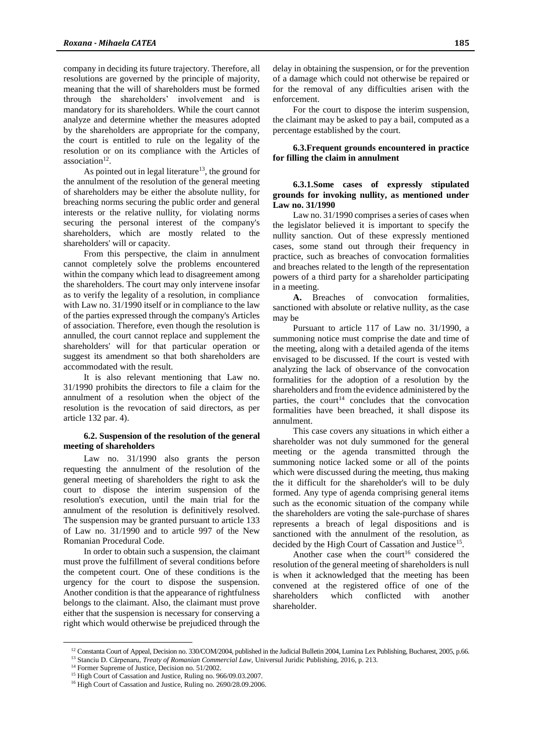company in deciding its future trajectory. Therefore, all resolutions are governed by the principle of majority, meaning that the will of shareholders must be formed through the shareholders' involvement and is mandatory for its shareholders. While the court cannot analyze and determine whether the measures adopted by the shareholders are appropriate for the company, the court is entitled to rule on the legality of the resolution or on its compliance with the Articles of association<sup>12</sup>.

As pointed out in legal literature<sup>13</sup>, the ground for the annulment of the resolution of the general meeting of shareholders may be either the absolute nullity, for breaching norms securing the public order and general interests or the relative nullity, for violating norms securing the personal interest of the company's shareholders, which are mostly related to the shareholders' will or capacity.

From this perspective, the claim in annulment cannot completely solve the problems encountered within the company which lead to disagreement among the shareholders. The court may only intervene insofar as to verify the legality of a resolution, in compliance with Law no. 31/1990 itself or in compliance to the law of the parties expressed through the company's Articles of association. Therefore, even though the resolution is annulled, the court cannot replace and supplement the shareholders' will for that particular operation or suggest its amendment so that both shareholders are accommodated with the result.

It is also relevant mentioning that Law no. 31/1990 prohibits the directors to file a claim for the annulment of a resolution when the object of the resolution is the revocation of said directors, as per article 132 par. 4).

#### **6.2. Suspension of the resolution of the general meeting of shareholders**

Law no. 31/1990 also grants the person requesting the annulment of the resolution of the general meeting of shareholders the right to ask the court to dispose the interim suspension of the resolution's execution, until the main trial for the annulment of the resolution is definitively resolved. The suspension may be granted pursuant to article 133 of Law no. 31/1990 and to article 997 of the New Romanian Procedural Code.

In order to obtain such a suspension, the claimant must prove the fulfillment of several conditions before the competent court. One of these conditions is the urgency for the court to dispose the suspension. Another condition is that the appearance of rightfulness belongs to the claimant. Also, the claimant must prove either that the suspension is necessary for conserving a right which would otherwise be prejudiced through the delay in obtaining the suspension, or for the prevention of a damage which could not otherwise be repaired or for the removal of any difficulties arisen with the enforcement.

For the court to dispose the interim suspension, the claimant may be asked to pay a bail, computed as a percentage established by the court.

#### **6.3.Frequent grounds encountered in practice for filling the claim in annulment**

### **6.3.1.Some cases of expressly stipulated grounds for invoking nullity, as mentioned under Law no. 31/1990**

Law no. 31/1990 comprises a series of cases when the legislator believed it is important to specify the nullity sanction. Out of these expressly mentioned cases, some stand out through their frequency in practice, such as breaches of convocation formalities and breaches related to the length of the representation powers of a third party for a shareholder participating in a meeting.

**A.** Breaches of convocation formalities, sanctioned with absolute or relative nullity, as the case may be

Pursuant to article 117 of Law no. 31/1990, a summoning notice must comprise the date and time of the meeting, along with a detailed agenda of the items envisaged to be discussed. If the court is vested with analyzing the lack of observance of the convocation formalities for the adoption of a resolution by the shareholders and from the evidence administered by the parties, the court<sup>14</sup> concludes that the convocation formalities have been breached, it shall dispose its annulment.

This case covers any situations in which either a shareholder was not duly summoned for the general meeting or the agenda transmitted through the summoning notice lacked some or all of the points which were discussed during the meeting, thus making the it difficult for the shareholder's will to be duly formed. Any type of agenda comprising general items such as the economic situation of the company while the shareholders are voting the sale-purchase of shares represents a breach of legal dispositions and is sanctioned with the annulment of the resolution, as decided by the High Court of Cassation and Justice<sup>15</sup>.

Another case when the court<sup>16</sup> considered the resolution of the general meeting of shareholders is null is when it acknowledged that the meeting has been convened at the registered office of one of the shareholders which conflicted with another shareholder.

 $\overline{a}$ 

<sup>&</sup>lt;sup>12</sup> Constanta Court of Appeal, Decision no. 330/COM/2004, published in the Judicial Bulletin 2004, Lumina Lex Publishing, Bucharest, 2005, p.66.

<sup>13</sup> Stanciu D. Cărpenaru, *Treaty of Romanian Commercial Law,* Universul Juridic Publishing, 2016, p. 213.

<sup>&</sup>lt;sup>14</sup> Former Supreme of Justice, Decision no. 51/2002.

<sup>&</sup>lt;sup>15</sup> High Court of Cassation and Justice, Ruling no. 966/09.03.2007.

<sup>&</sup>lt;sup>16</sup> High Court of Cassation and Justice, Ruling no. 2690/28.09.2006.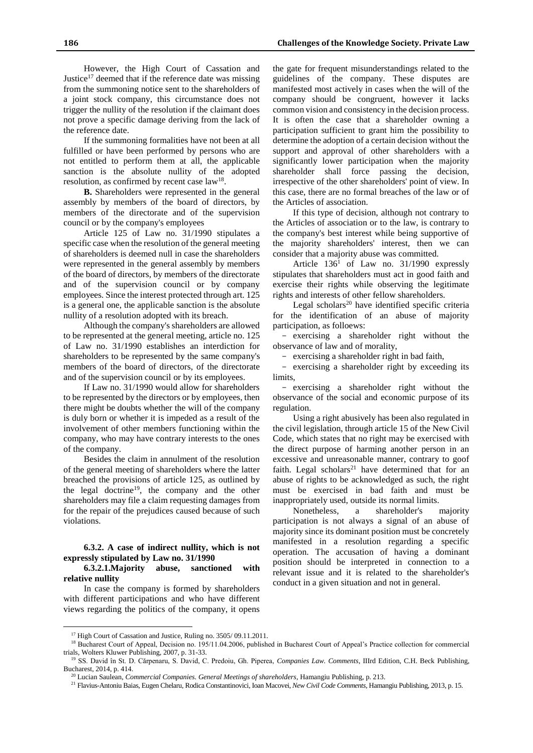However, the High Court of Cassation and Justice<sup>17</sup> deemed that if the reference date was missing from the summoning notice sent to the shareholders of a joint stock company, this circumstance does not trigger the nullity of the resolution if the claimant does not prove a specific damage deriving from the lack of the reference date.

If the summoning formalities have not been at all fulfilled or have been performed by persons who are not entitled to perform them at all, the applicable sanction is the absolute nullity of the adopted resolution, as confirmed by recent case  $law^{18}$ .

**B.** Shareholders were represented in the general assembly by members of the board of directors, by members of the directorate and of the supervision council or by the company's employees

Article 125 of Law no. 31/1990 stipulates a specific case when the resolution of the general meeting of shareholders is deemed null in case the shareholders were represented in the general assembly by members of the board of directors, by members of the directorate and of the supervision council or by company employees. Since the interest protected through art. 125 is a general one, the applicable sanction is the absolute nullity of a resolution adopted with its breach.

Although the company's shareholders are allowed to be represented at the general meeting, article no. 125 of Law no. 31/1990 establishes an interdiction for shareholders to be represented by the same company's members of the board of directors, of the directorate and of the supervision council or by its employees.

If Law no. 31/1990 would allow for shareholders to be represented by the directors or by employees, then there might be doubts whether the will of the company is duly born or whether it is impeded as a result of the involvement of other members functioning within the company, who may have contrary interests to the ones of the company.

Besides the claim in annulment of the resolution of the general meeting of shareholders where the latter breached the provisions of article 125, as outlined by the legal doctrine<sup>19</sup>, the company and the other shareholders may file a claim requesting damages from for the repair of the prejudices caused because of such violations.

### **6.3.2. A case of indirect nullity, which is not expressly stipulated by Law no. 31/1990**

**6.3.2.1.Majority abuse, sanctioned with relative nullity**

In case the company is formed by shareholders with different participations and who have different views regarding the politics of the company, it opens

 $\overline{a}$ 

the gate for frequent misunderstandings related to the guidelines of the company. These disputes are manifested most actively in cases when the will of the company should be congruent, however it lacks common vision and consistency in the decision process. It is often the case that a shareholder owning a participation sufficient to grant him the possibility to determine the adoption of a certain decision without the support and approval of other shareholders with a significantly lower participation when the majority shareholder shall force passing the decision, irrespective of the other shareholders' point of view. In this case, there are no formal breaches of the law or of the Articles of association.

If this type of decision, although not contrary to the Articles of association or to the law, is contrary to the company's best interest while being supportive of the majority shareholders' interest, then we can consider that a majority abuse was committed.

Article  $136<sup>1</sup>$  of Law no. 31/1990 expressly stipulates that shareholders must act in good faith and exercise their rights while observing the legitimate rights and interests of other fellow shareholders.

Legal scholars $^{20}$  have identified specific criteria for the identification of an abuse of majority participation, as folloews:

- exercising a shareholder right without the observance of law and of morality,

- exercising a shareholder right in bad faith,

- exercising a shareholder right by exceeding its limits,

- exercising a shareholder right without the observance of the social and economic purpose of its regulation.

Using a right abusively has been also regulated in the civil legislation, through article 15 of the New Civil Code, which states that no right may be exercised with the direct purpose of harming another person in an excessive and unreasonable manner, contrary to goof faith. Legal scholars<sup>21</sup> have determined that for an abuse of rights to be acknowledged as such, the right must be exercised in bad faith and must be inappropriately used, outside its normal limits.

Nonetheless, a shareholder's majority participation is not always a signal of an abuse of majority since its dominant position must be concretely manifested in a resolution regarding a specific operation. The accusation of having a dominant position should be interpreted in connection to a relevant issue and it is related to the shareholder's conduct in a given situation and not in general.

<sup>&</sup>lt;sup>17</sup> High Court of Cassation and Justice, Ruling no. 3505/09.11.2011.

<sup>&</sup>lt;sup>18</sup> Bucharest Court of Appeal, Decision no. 195/11.04.2006, published in Bucharest Court of Appeal's Practice collection for commercial trials, Wolters Kluwer Publishing, 2007, p. 31-33.

<sup>19</sup> SS. David în St. D. Cărpenaru, S. David, C. Predoiu, Gh. Piperea, *Companies Law. Comments*, IIIrd Edition, C.H. Beck Publishing, Bucharest, 2014, p. 414.

<sup>20</sup> Lucian Saulean, *Commercial Companies. General Meetings of shareholders*, Hamangiu Publishing, p. 213.

<sup>21</sup> Flavius-Antoniu Baias, Eugen Chelaru, Rodica Constantinovici, Ioan Macovei, *New Civil Code Comments*, Hamangiu Publishing, 2013, p. 15.